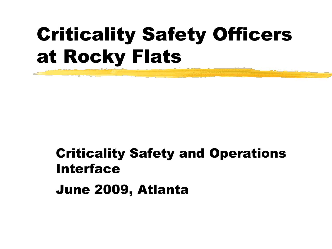## Criticality Safety Officers at Rocky Flats

## Criticality Safety and Operations Interface

June 2009, Atlanta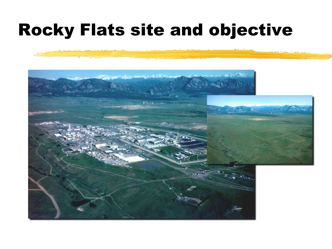#### Rocky Flats site and objective

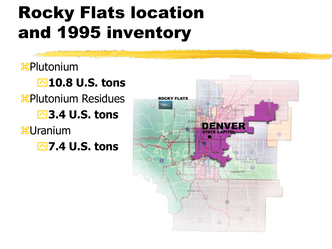### Rocky Flats location and 1995 inventory

**\\$Plutonium 10.8 U.S. tons \tighta** Plutonium Residues **3.4 U.S. tons** *<del>8</del>Uranium* **7.4 U.S. tons**

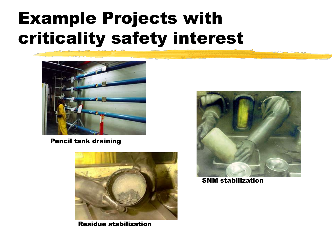#### Example Projects with criticality safety interest



Pencil tank draining



Residue stabilization



SNM stabilization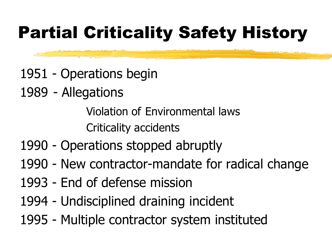## Partial Criticality Safety History

- 1951 Operations begin
- 1989 Allegations

Violation of Environmental laws Criticality accidents

- 1990 Operations stopped abruptly
- 1990 New contractor-mandate for radical change
- 1993 End of defense mission
- 1994 Undisciplined draining incident
- 1995 Multiple contractor system instituted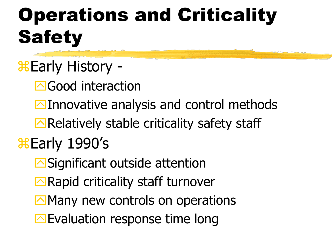# Operations and Criticality **Safety**

- **&Early History -**
	- **E**Good interaction
	- $\Box$ Innovative analysis and control methods
	- $\Box$  Relatively stable criticality safety staff

#### **Early 1990's**

- **E**Significant outside attention
- $\Box$ Rapid criticality staff turnover
- $\Box$  Many new controls on operations
- Evaluation response time long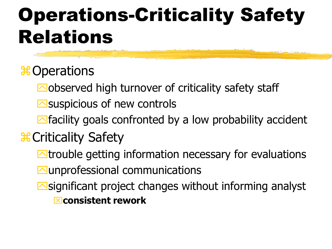## Operations-Criticality Safety Relations

#### **\\$ Operations**

- $\Box$ observed high turnover of criticality safety staff
- $\Box$  suspicious of new controls
- $\Box$  facility goals confronted by a low probability accident

#### **X** Criticality Safety

- $\blacksquare$  trouble getting information necessary for evaluations
- **Munprofessional communications**
- $\Box$  significant project changes without informing analyst **EX** consistent rework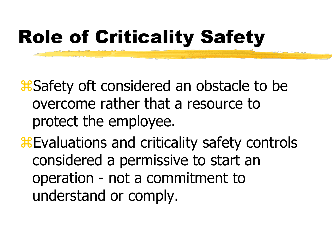## Role of Criticality Safety

**& Safety oft considered an obstacle to be** overcome rather that a resource to protect the employee.

**Evaluations and criticality safety controls** considered a permissive to start an operation - not a commitment to understand or comply.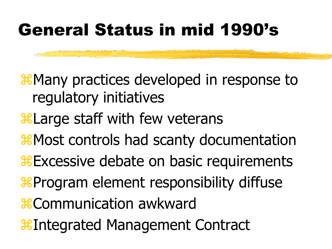#### General Status in mid 1990's

**X Many practices developed in response to** regulatory initiatives

- **Harge staff with few veterans**
- **X** Most controls had scanty documentation
- **EXCESSIVE debate on basic requirements**
- **& Program element responsibility diffuse**
- *Communication awkward*
- *I*EIntegrated Management Contract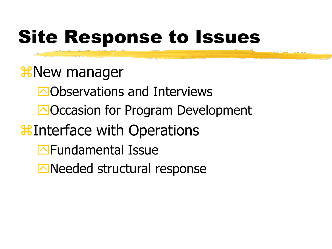## Site Response to Issues

**X** New manager Observations and Interviews **EOCCASION for Program Development Buta** Interface with Operations **Example 15** Fundamental Issue Needed structural response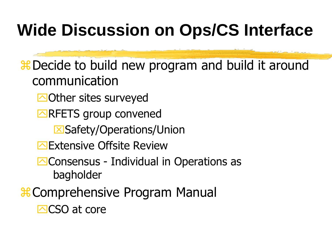### **Wide Discussion on Ops/CS Interface**

**# Decide to build new program and build it around** communication

- **E**Other sites surveyed
- **ENRETS** group convened
	- **X**Safety/Operations/Union
- **Extensive Offsite Review**
- **E**Consensus Individual in Operations as bagholder
- **# Comprehensive Program Manual**

 $\Box$ CSO at core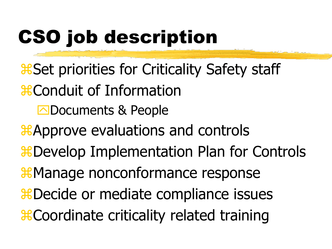# CSO job description

- **& Set priorities for Criticality Safety staff**
- **\; SECONDUCT:** OF Information
	- **E**Documents & People
- **A**Approve evaluations and controls **X** Develop Implementation Plan for Controls **X** Manage nonconformance response **X** Decide or mediate compliance issues **& Coordinate criticality related training**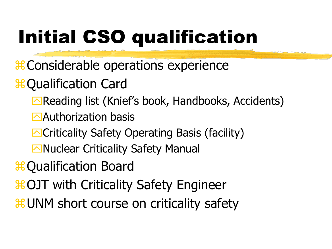# Initial CSO qualification

- **# Considerable operations experience**
- **\# Qualification Card** 
	- Reading list (Knief's book, Handbooks, Accidents)
	- $\triangle$ Authorization basis
	- **E**Criticality Safety Operating Basis (facility)
	- **Nuclear Criticality Safety Manual**
- **\# Qualification Board**
- **\#OJT** with Criticality Safety Engineer
- **HUNM** short course on criticality safety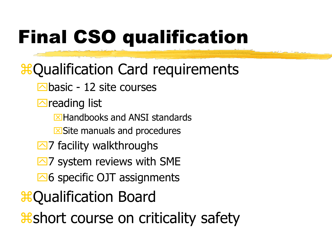# Final CSO qualification

- **& Qualification Card requirements** 
	- $\Box$ basic 12 site courses
	- $\Box$  reading list
		- $\boxtimes$  Handbooks and ANSI standards
		- $\boxtimes$  Site manuals and procedures
	- $\Box$ 7 facility walkthroughs
	- $\overline{\triangle}$  7 system reviews with SME
	- $\overline{\triangle}6$  specific OJT assignments
- **B**Qualification Board
- **& short course on criticality safety**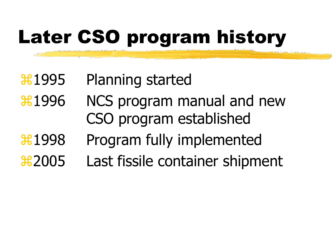# Later CSO program history

#### **Health Started** Planning started

- **Hetal 1996** NCS program manual and new CSO program established
- **Hetalish** Program fully implemented
- **22005** Last fissile container shipment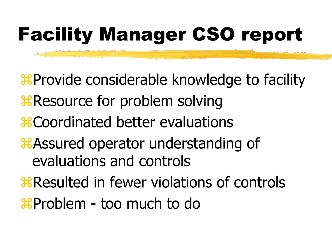# Facility Manager CSO report

*EProvide considerable knowledge to facility R* Resource for problem solving **\; Exercise** Coordinated better evaluations **A**SSured operator understanding of evaluations and controls **Resulted in fewer violations of controls \the Problem - too much to do**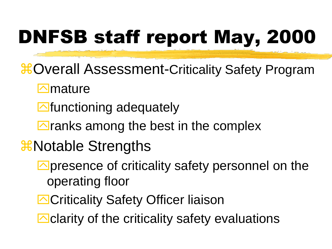# DNFSB staff report May, 2000

- $\frac{12}{100}$  **Overall Assessment-Criticality Safety Program** 
	- $\Box$ mature
	- $\blacksquare$  functioning adequately
	- $\Box$  ranks among the best in the complex
- **X** Notable Strengths
	- $\Box$  presence of criticality safety personnel on the operating floor
	- **E**Criticality Safety Officer liaison
	- $\Box$  clarity of the criticality safety evaluations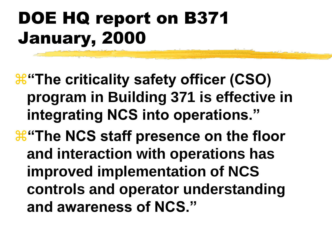### DOE HQ report on B371 January, 2000

*H* "The criticality safety officer (CSO) **program in Building 371 is effective in integrating NCS into operations."**

**E** The NCS staff presence on the floor **and interaction with operations has improved implementation of NCS controls and operator understanding and awareness of NCS."**